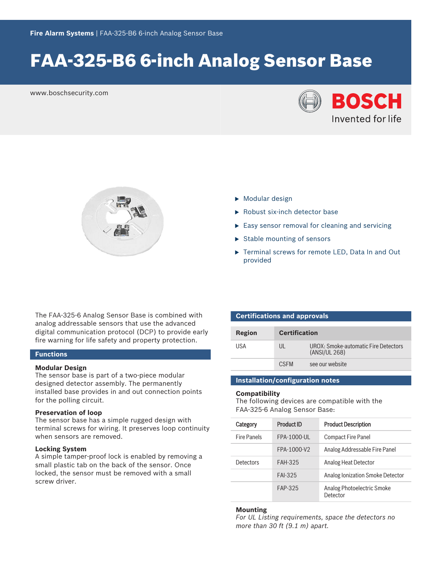# FAA‑325‑B6 6‑inch Analog Sensor Base

www.boschsecurity.com





- $\triangleright$  Modular design
- ▶ Robust six-inch detector base
- $\triangleright$  Easy sensor removal for cleaning and servicing
- $\blacktriangleright$  Stable mounting of sensors
- ▶ Terminal screws for remote LED, Data In and Out provided

The FAA‑325‑6 Analog Sensor Base is combined with analog addressable sensors that use the advanced digital communication protocol (DCP) to provide early fire warning for life safety and property protection.

### **Functions**

#### **Modular Design**

The sensor base is part of a two-piece modular designed detector assembly. The permanently installed base provides in and out connection points for the polling circuit.

### **Preservation of loop**

The sensor base has a simple rugged design with terminal screws for wiring. It preserves loop continuity when sensors are removed.

#### **Locking System**

A simple tamper‑proof lock is enabled by removing a small plastic tab on the back of the sensor. Once locked, the sensor must be removed with a small screw driver.

| <b>Certifications and approvals</b> |                      |                                                       |  |  |
|-------------------------------------|----------------------|-------------------------------------------------------|--|--|
| Region                              | <b>Certification</b> |                                                       |  |  |
| USA                                 | $\mathbf{III}$       | UROX: Smoke-automatic Fire Detectors<br>(ANSI/UL 268) |  |  |
|                                     | C.SEM                | see our website                                       |  |  |

### **Installation/configuration notes**

#### **Compatibility**

The following devices are compatible with the FAA‑325‑6 Analog Sensor Base:

| Category           | Product ID     | <b>Product Description</b>             |
|--------------------|----------------|----------------------------------------|
| <b>Fire Panels</b> | FPA-1000-UL    | <b>Compact Fire Panel</b>              |
|                    | FPA-1000-V2    | Analog Addressable Fire Panel          |
| Detectors          | <b>FAH-325</b> | Analog Heat Detector                   |
|                    | <b>FAI-325</b> | Analog Ionization Smoke Detector       |
|                    | FAP-325        | Analog Photoelectric Smoke<br>Detector |

#### **Mounting**

*For UL Listing requirements, space the detectors no more than 30 ft (9.1 m) apart.*